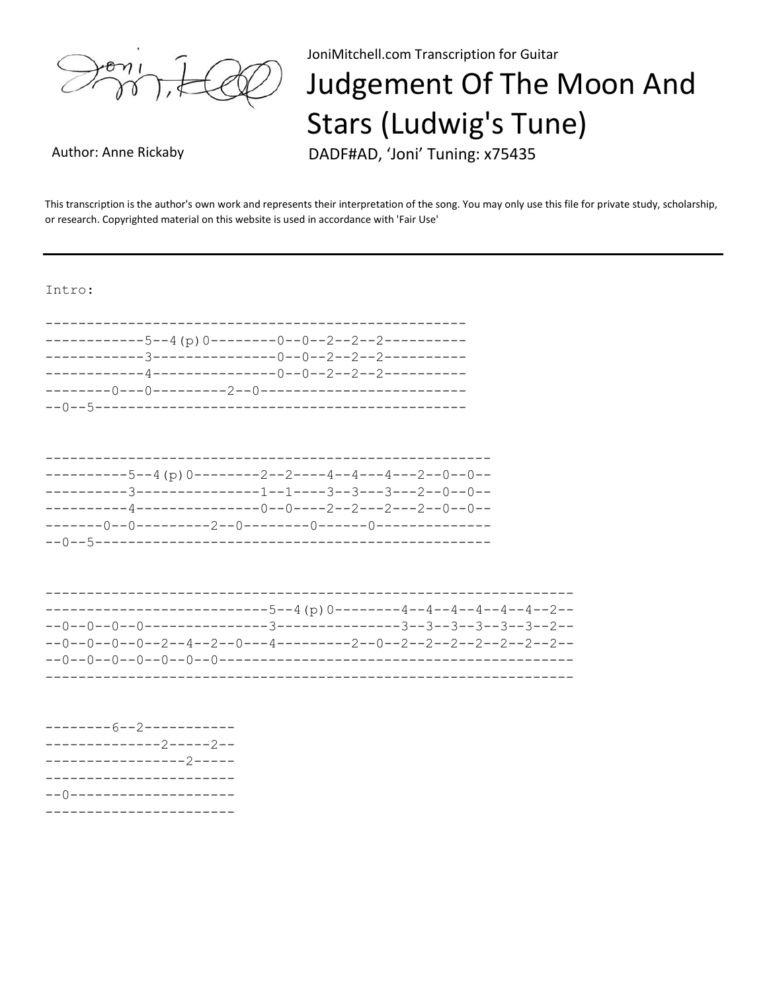

JoniMitchell.com Transcription for Guitar

## Judgement Of The Moon And **Stars (Ludwig's Tune)**

Author: Anne Rickaby

DADF#AD, 'Joni' Tuning: x75435

This transcription is the author's own work and represents their interpretation of the song. You may only use this file for private study, scholarship, or research. Copyrighted material on this website is used in accordance with 'Fair Use'

Intro:

| ----------5--4 (p) 0--------2--2----4--4---4---2--0--0-- |  |  |
|----------------------------------------------------------|--|--|
|                                                          |  |  |
|                                                          |  |  |
|                                                          |  |  |
|                                                          |  |  |
|                                                          |  |  |

| -------------------------5--4 (p) 0--------4--4--4--4--4--2--    |  |  |
|------------------------------------------------------------------|--|--|
|                                                                  |  |  |
| --0--0--0--0--2--4--2--0---4---------2--0--2--2--2--2--2--2--2-- |  |  |
|                                                                  |  |  |
|                                                                  |  |  |

| --------6--2-----------  |  |  |
|--------------------------|--|--|
| --------------2-----2--  |  |  |
| -----------------2-----  |  |  |
| ------------------------ |  |  |
| --()-------------------- |  |  |
|                          |  |  |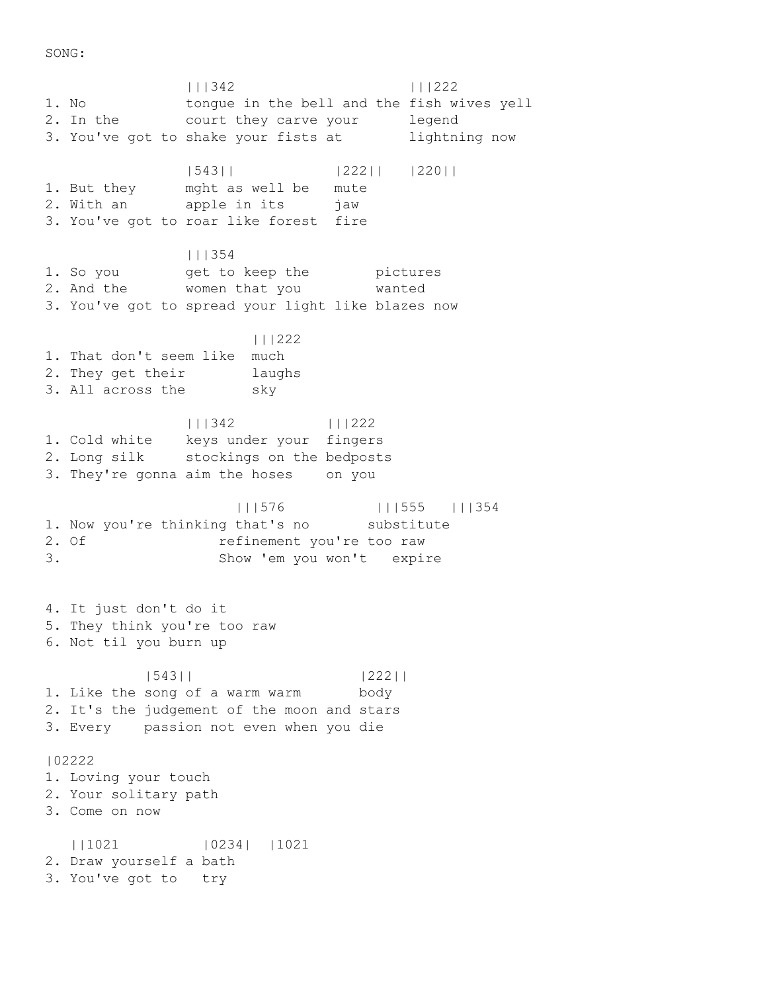SONG:

 |||342 |||222 1. No tongue in the bell and the fish wives yell 2. In the court they carve your legend 3. You've got to shake your fists at lightning now |543|| |222|| |220|| 1. But they mght as well be mute 2. With an apple in its jaw 3. You've got to roar like forest fire |||354 1. So you but beep the pictures 2. And the women that you wanted 3. You've got to spread your light like blazes now |||222 1. That don't seem like much 2. They get their laughs 3. All across the sky |||342 |||222 1. Cold white keys under your fingers 2. Long silk stockings on the bedposts 3. They're gonna aim the hoses on you |||576 |||555 |||354 1. Now you're thinking that's no substitute 2. Of contract refinement you're too raw 3. Show 'em you won't expire 4. It just don't do it 5. They think you're too raw 6. Not til you burn up |543|| |222|| 1. Like the song of a warm warm body 2. It's the judgement of the moon and stars 3. Every passion not even when you die |02222 1. Loving your touch 2. Your solitary path 3. Come on now ||1021 |0234| |1021 2. Draw yourself a bath 3. You've got to try